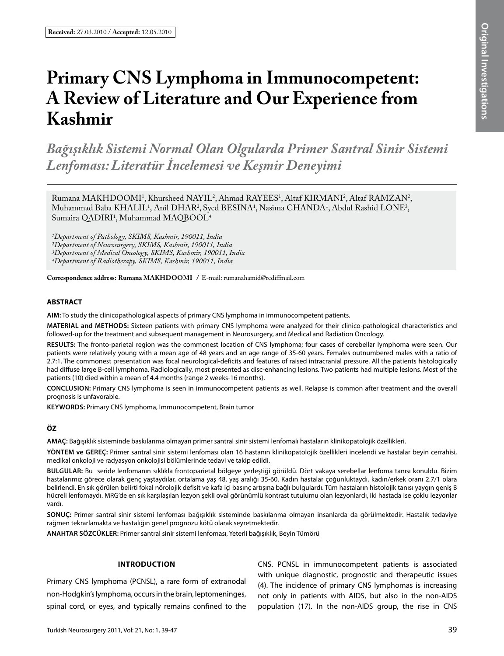# Primary CNS Lymphoma in Immunocompetent: **A Review of Literature and Our Experience from Kashmir**

*Bağışıklık Sistemi Normal Olan Olgularda Primer Santral Sinir Sistemi Lenfoması: Literatür İncelemesi ve Keşmir Deneyimi*

Rumana MAKHDOOMI<sup>1</sup>, Khursheed NAYIL<sup>2</sup>, Ahmad RAYEES<sup>1</sup>, Altaf KIRMANI<sup>2</sup>, Altaf RAMZAN<sup>2</sup>,  $M$ uhammad Baba KHALIL<sup>1</sup>, Anil DHAR<sup>2</sup>, Syed BESINA<sup>1</sup>, Nasima CHANDA<sup>1</sup>, Abdul Rashid LONE<sup>3</sup>, Sumaira QADIRI<sup>1</sup>, Muhammad MAQBOOL<sup>4</sup>

*1Department of Pathology, SKIMS, Kashmir, 190011, India 2Department of Neurosurgery, SKIMS, Kashmir, 190011, India 3Department of Medical Oncology, SKIMS, Kashmir, 190011, India 4Department of Radiotherapy, SKIMS, Kashmir, 190011, India*

**Correspondence address: Rumana MakhdoomI /** E-mail: rumanahamid@rediffmail.com

#### **ABSTRACT**

**AIm:** To study the clinicopathological aspects of primary CNS lymphoma in immunocompetent patients.

**MaterIal and Methods:** Sixteen patients with primary CNS lymphoma were analyzed for their clinico-pathological characteristics and followed-up for the treatment and subsequent management in Neurosurgery, and Medical and Radiation Oncology.

**Results:** The fronto-parietal region was the commonest location of CNS lymphoma; four cases of cerebellar lymphoma were seen. Our patients were relatively young with a mean age of 48 years and an age range of 35-60 years. Females outnumbered males with a ratio of 2.7:1. The commonest presentation was focal neurological-deficits and features of raised intracranial pressure. All the patients histologically had diffuse large B-cell lymphoma. Radiologically, most presented as disc-enhancing lesions. Two patients had multiple lesions. Most of the patients (10) died within a mean of 4.4 months (range 2 weeks-16 months).

**ConclusIon:** Primary CNS lymphoma is seen in immunocompetent patients as well. Relapse is common after treatment and the overall prognosis is unfavorable.

**Keywords:** Primary CNS lymphoma, Immunocompetent, Brain tumor

# **ÖZ**

**AMAÇ:** Bağışıklık sisteminde baskılanma olmayan primer santral sinir sistemi lenfomalı hastaların klinikopatolojik özellikleri.

**YÖNTEM ve GEREÇ:** Primer santral sinir sistemi lenfoması olan 16 hastanın klinikopatolojik özellikleri incelendi ve hastalar beyin cerrahisi, medikal onkoloji ve radyasyon onkolojisi bölümlerinde tedavi ve takip edildi.

**BULGULAR:** Bu seride lenfomanın sıklıkla frontoparietal bölgeye yerleştiği görüldü. Dört vakaya serebellar lenfoma tanısı konuldu. Bizim hastalarımız görece olarak genç yaştaydılar, ortalama yaş 48, yaş aralığı 35-60. Kadın hastalar çoğunluktaydı, kadın/erkek oranı 2.7/1 olara belirlendi. En sık görülen belirti fokal nörolojik defisit ve kafa içi basınç artışına bağlı bulgulardı. Tüm hastaların histolojik tanısı yaygın geniş B hücreli lenfomaydı. MRG'de en sık karşılaşılan lezyon şekli oval görünümlü kontrast tutulumu olan lezyonlardı, iki hastada ise çoklu lezyonlar vardı.

**SONUÇ:** Primer santral sinir sistemi lenfoması bağışıklık sisteminde baskılanma olmayan insanlarda da görülmektedir. Hastalık tedaviye rağmen tekrarlamakta ve hastalığın genel prognozu kötü olarak seyretmektedir.

**ANAHTAR SÖZCÜKLER:** Primer santral sinir sistemi lenfoması, Yeterli bağışıklık, Beyin Tümörü

#### **Introduction**

Primary CNS lymphoma (PCNSL), a rare form of extranodal non-Hodgkin's lymphoma, occurs in the brain, leptomeninges, spinal cord, or eyes, and typically remains confined to the CNS. PCNSL in immunocompetent patients is associated with unique diagnostic, prognostic and therapeutic issues (4). The incidence of primary CNS lymphomas is increasing not only in patients with AIDS, but also in the non-AIDS population (17). In the non-AIDS group, the rise in CNS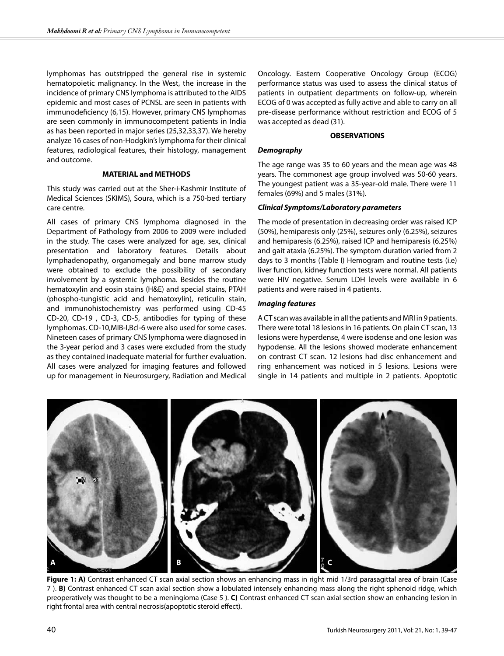lymphomas has outstripped the general rise in systemic hematopoietic malignancy. In the West, the increase in the incidence of primary CNS lymphoma is attributed to the AIDS epidemic and most cases of PCNSL are seen in patients with immunodeficiency (6,15). However, primary CNS lymphomas are seen commonly in immunocompetent patients in India as has been reported in major series (25,32,33,37). We hereby analyze 16 cases of non-Hodgkin's lymphoma for their clinical features, radiological features, their histology, management and outcome.

#### **MATERIAL and METHODS**

This study was carried out at the Sher-i-Kashmir Institute of Medical Sciences (SKIMS), Soura, which is a 750-bed tertiary care centre.

All cases of primary CNS lymphoma diagnosed in the Department of Pathology from 2006 to 2009 were included in the study. The cases were analyzed for age, sex, clinical presentation and laboratory features. Details about lymphadenopathy, organomegaly and bone marrow study were obtained to exclude the possibility of secondary involvement by a systemic lymphoma. Besides the routine hematoxylin and eosin stains (H&E) and special stains, PTAH (phospho-tungistic acid and hematoxylin), reticulin stain, and immunohistochemistry was performed using CD-45 CD-20, CD-19 , CD-3, CD-5, antibodies for typing of these lymphomas. CD-10,MIB-I,Bcl-6 were also used for some cases. Nineteen cases of primary CNS lymphoma were diagnosed in the 3-year period and 3 cases were excluded from the study as they contained inadequate material for further evaluation. All cases were analyzed for imaging features and followed up for management in Neurosurgery, Radiation and Medical

Oncology. Eastern Cooperative Oncology Group (ECOG) performance status was used to assess the clinical status of patients in outpatient departments on follow-up, wherein ECOG of 0 was accepted as fully active and able to carry on all pre-disease performance without restriction and ECOG of 5 was accepted as dead (31).

# **OBSERVATIONS**

#### *Demography*

The age range was 35 to 60 years and the mean age was 48 years. The commonest age group involved was 50-60 years. The youngest patient was a 35-year-old male. There were 11 females (69%) and 5 males (31%).

#### *Clinical Symptoms/Laboratory parameters*

The mode of presentation in decreasing order was raised ICP (50%), hemiparesis only (25%), seizures only (6.25%), seizures and hemiparesis (6.25%), raised ICP and hemiparesis (6.25%) and gait ataxia (6.25%). The symptom duration varied from 2 days to 3 months (Table I) Hemogram and routine tests (i.e) liver function, kidney function tests were normal. All patients were HIV negative. Serum LDH levels were available in 6 patients and were raised in 4 patients.

#### *Imaging features*

A CT scan was available in all the patients and MRI in 9 patients. There were total 18 lesions in 16 patients. On plain CT scan, 13 lesions were hyperdense, 4 were isodense and one lesion was hypodense. All the lesions showed moderate enhancement on contrast CT scan. 12 lesions had disc enhancement and ring enhancement was noticed in 5 lesions. Lesions were single in 14 patients and multiple in 2 patients. Apoptotic



**Figure 1: A)** Contrast enhanced CT scan axial section shows an enhancing mass in right mid 1/3rd parasagittal area of brain (Case 7 ). **B)** Contrast enhanced CT scan axial section show a lobulated intensely enhancing mass along the right sphenoid ridge, which preoperatively was thought to be a meningioma (Case 5 ). **C)** Contrast enhanced CT scan axial section show an enhancing lesion in right frontal area with central necrosis(apoptotic steroid effect).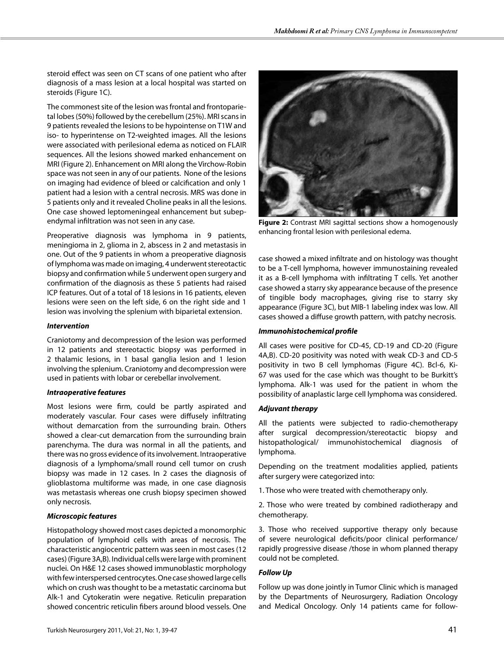steroid effect was seen on CT scans of one patient who after diagnosis of a mass lesion at a local hospital was started on steroids (Figure 1C).

The commonest site of the lesion was frontal and frontoparietal lobes (50%) followed by the cerebellum (25%). MRI scans in 9 patients revealed the lesions to be hypointense on T1W and iso- to hyperintense on T2-weighted images. All the lesions were associated with perilesional edema as noticed on FLAIR sequences. All the lesions showed marked enhancement on MRI (Figure 2). Enhancement on MRI along the Virchow-Robin space was not seen in any of our patients. None of the lesions on imaging had evidence of bleed or calcification and only 1 patient had a lesion with a central necrosis. MRS was done in 5 patients only and it revealed Choline peaks in all the lesions. One case showed leptomeningeal enhancement but subependymal infiltration was not seen in any case.

Preoperative diagnosis was lymphoma in 9 patients, meningioma in 2, glioma in 2, abscess in 2 and metastasis in one. Out of the 9 patients in whom a preoperative diagnosis of lymphoma was made on imaging, 4 underwent stereotactic biopsy and confirmation while 5 underwent open surgery and confirmation of the diagnosis as these 5 patients had raised ICP features. Out of a total of 18 lesions in 16 patients, eleven lesions were seen on the left side, 6 on the right side and 1 lesion was involving the splenium with biparietal extension.

# *Intervention*

Craniotomy and decompression of the lesion was performed in 12 patients and stereotactic biopsy was performed in 2 thalamic lesions, in 1 basal ganglia lesion and 1 lesion involving the splenium. Craniotomy and decompression were used in patients with lobar or cerebellar involvement.

# *Intraoperative features*

Most lesions were firm, could be partly aspirated and moderately vascular. Four cases were diffusely infiltrating without demarcation from the surrounding brain. Others showed a clear-cut demarcation from the surrounding brain parenchyma. The dura was normal in all the patients, and there was no gross evidence of its involvement. Intraoperative diagnosis of a lymphoma/small round cell tumor on crush biopsy was made in 12 cases. In 2 cases the diagnosis of glioblastoma multiforme was made, in one case diagnosis was metastasis whereas one crush biopsy specimen showed only necrosis.

# *Microscopic features*

Histopathology showed most cases depicted a monomorphic population of lymphoid cells with areas of necrosis. The characteristic angiocentric pattern was seen in most cases (12 cases) (Figure 3A,B). Individual cells were large with prominent nuclei. On H&E 12 cases showed immunoblastic morphology with few interspersed centrocytes. One case showed large cells which on crush was thought to be a metastatic carcinoma but Alk-1 and Cytokeratin were negative. Reticulin preparation showed concentric reticulin fibers around blood vessels. One



**Figure 2:** Contrast MRI sagittal sections show a homogenously enhancing frontal lesion with perilesional edema.

case showed a mixed infiltrate and on histology was thought to be a T-cell lymphoma, however immunostaining revealed it as a B-cell lymphoma with infiltrating T cells. Yet another case showed a starry sky appearance because of the presence of tingible body macrophages, giving rise to starry sky appearance (Figure 3C), but MIB-1 labeling index was low. All cases showed a diffuse growth pattern, with patchy necrosis.

# *Immunohistochemical profile*

All cases were positive for CD-45, CD-19 and CD-20 (Figure 4A,B). CD-20 positivity was noted with weak CD-3 and CD-5 positivity in two B cell lymphomas (Figure 4C). Bcl-6, Ki-67 was used for the case which was thought to be Burkitt's lymphoma. Alk-1 was used for the patient in whom the possibility of anaplastic large cell lymphoma was considered.

# *Adjuvant therapy*

All the patients were subjected to radio-chemotherapy after surgical decompression/stereotactic biopsy and histopathological/ immunohistochemical diagnosis of lymphoma.

Depending on the treatment modalities applied, patients after surgery were categorized into:

1. Those who were treated with chemotherapy only.

2. Those who were treated by combined radiotherapy and chemotherapy.

3. Those who received supportive therapy only because of severe neurological deficits/poor clinical performance/ rapidly progressive disease /those in whom planned therapy could not be completed.

# *Follow Up*

Follow up was done jointly in Tumor Clinic which is managed by the Departments of Neurosurgery, Radiation Oncology and Medical Oncology. Only 14 patients came for follow-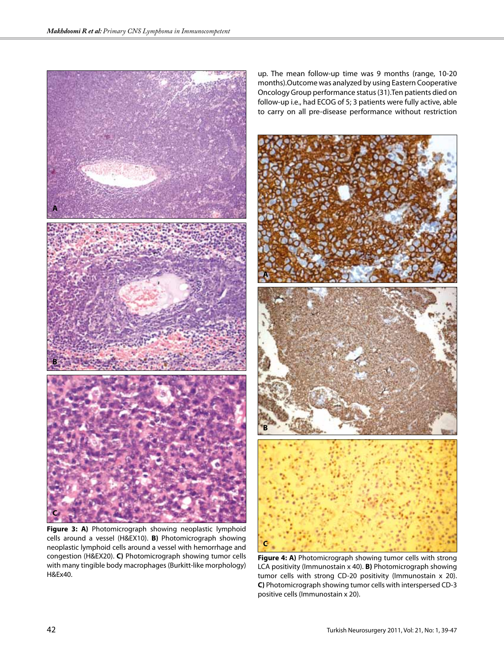

**Figure 3: A)** Photomicrograph showing neoplastic lymphoid cells around a vessel (H&EX10). **B)** Photomicrograph showing neoplastic lymphoid cells around a vessel with hemorrhage and congestion (H&EX20). **C)** Photomicrograph showing tumor cells with many tingible body macrophages (Burkitt-like morphology) H&Ex40.

up. The mean follow-up time was 9 months (range, 10-20 months).Outcome was analyzed by using Eastern Cooperative Oncology Group performance status (31).Ten patients died on follow-up i.e., had ECOG of 5; 3 patients were fully active, able to carry on all pre-disease performance without restriction



**Figure 4: A)** Photomicrograph showing tumor cells with strong LCA positivity (Immunostain x 40). **B)** Photomicrograph showing tumor cells with strong CD-20 positivity (Immunostain x 20). **C)** Photomicrograph showing tumor cells with interspersed CD-3 positive cells (Immunostain x 20).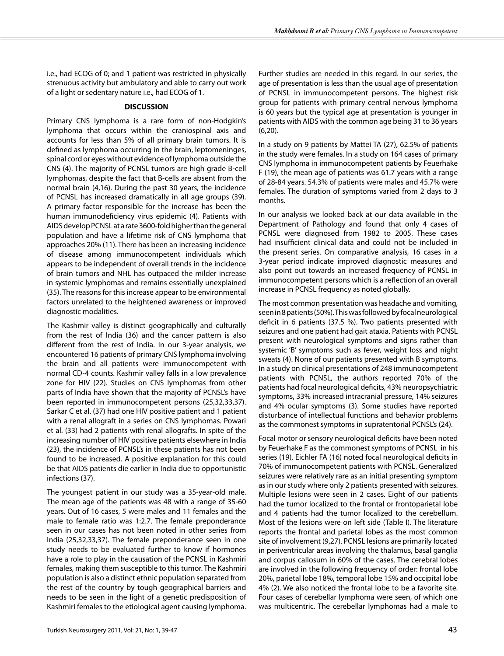i.e., had ECOG of 0; and 1 patient was restricted in physically strenuous activity but ambulatory and able to carry out work of a light or sedentary nature i.e., had ECOG of 1.

#### **DISCUSSION**

Primary CNS lymphoma is a rare form of non-Hodgkin's lymphoma that occurs within the craniospinal axis and accounts for less than 5% of all primary brain tumors. It is defined as lymphoma occurring in the brain, leptomeninges, spinal cord or eyes without evidence of lymphoma outside the CNS (4). The majority of PCNSL tumors are high grade B-cell lymphomas, despite the fact that B-cells are absent from the normal brain (4,16). During the past 30 years, the incidence of PCNSL has increased dramatically in all age groups (39). A primary factor responsible for the increase has been the human immunodeficiency virus epidemic (4). Patients with AIDS develop PCNSL at a rate 3600-fold higher than the general population and have a lifetime risk of CNS lymphoma that approaches 20% (11). There has been an increasing incidence of disease among immunocompetent individuals which appears to be independent of overall trends in the incidence of brain tumors and NHL has outpaced the milder increase in systemic lymphomas and remains essentially unexplained (35). The reasons for this increase appear to be environmental factors unrelated to the heightened awareness or improved diagnostic modalities.

The Kashmir valley is distinct geographically and culturally from the rest of India (36) and the cancer pattern is also different from the rest of India. In our 3-year analysis, we encountered 16 patients of primary CNS lymphoma involving the brain and all patients were immunocompetent with normal CD-4 counts. Kashmir valley falls in a low prevalence zone for HIV (22). Studies on CNS lymphomas from other parts of India have shown that the majority of PCNSL's have been reported in immunocompetent persons (25,32,33,37). Sarkar C et al. (37) had one HIV positive patient and 1 patient with a renal allograft in a series on CNS lymphomas. Powari et al. (33) had 2 patients with renal allografts. In spite of the increasing number of HIV positive patients elsewhere in India (23), the incidence of PCNSL's in these patients has not been found to be increased. A positive explanation for this could be that AIDS patients die earlier in India due to opportunistic infections (37).

The youngest patient in our study was a 35-year-old male. The mean age of the patients was 48 with a range of 35-60 years. Out of 16 cases, 5 were males and 11 females and the male to female ratio was 1:2.7. The female preponderance seen in our cases has not been noted in other series from India (25,32,33,37). The female preponderance seen in one study needs to be evaluated further to know if hormones have a role to play in the causation of the PCNSL in Kashmiri females, making them susceptible to this tumor. The Kashmiri population is also a distinct ethnic population separated from the rest of the country by tough geographical barriers and needs to be seen in the light of a genetic predisposition of Kashmiri females to the etiological agent causing lymphoma.

Further studies are needed in this regard. In our series, the age of presentation is less than the usual age of presentation of PCNSL in immunocompetent persons. The highest risk group for patients with primary central nervous lymphoma is 60 years but the typical age at presentation is younger in patients with AIDS with the common age being 31 to 36 years (6,20).

In a study on 9 patients by Mattei TA (27), 62.5% of patients in the study were females. In a study on 164 cases of primary CNS lymphoma in immunocompetent patients by Feuerhake F (19), the mean age of patients was 61.7 years with a range of 28-84 years. 54.3% of patients were males and 45.7% were females. The duration of symptoms varied from 2 days to 3 months.

In our analysis we looked back at our data available in the Department of Pathology and found that only 4 cases of PCNSL were diagnosed from 1982 to 2005. These cases had insufficient clinical data and could not be included in the present series. On comparative analysis, 16 cases in a 3-year period indicate improved diagnostic measures and also point out towards an increased frequency of PCNSL in immunocompetent persons which is a reflection of an overall increase in PCNSL frequency as noted globally.

The most common presentation was headache and vomiting, seen in 8 patients (50%). This was followed by focal neurological deficit in 6 patients (37.5 %). Two patients presented with seizures and one patient had gait ataxia. Patients with PCNSL present with neurological symptoms and signs rather than systemic 'B' symptoms such as fever, weight loss and night sweats (4). None of our patients presented with B symptoms. In a study on clinical presentations of 248 immunocompetent patients with PCNSL, the authors reported 70% of the patients had focal neurological deficits, 43% neuropsychiatric symptoms, 33% increased intracranial pressure, 14% seizures and 4% ocular symptoms (3). Some studies have reported disturbance of intellectual functions and behavior problems as the commonest symptoms in supratentorial PCNSL's (24).

Focal motor or sensory neurological deficits have been noted by Feuerhake F as the commonest symptoms of PCNSL in his series (19). Eichler FA (16) noted focal neurological deficits in 70% of immunocompetent patients with PCNSL. Generalized seizures were relatively rare as an initial presenting symptom as in our study where only 2 patients presented with seizures. Multiple lesions were seen in 2 cases. Eight of our patients had the tumor localized to the frontal or frontoparietal lobe and 4 patients had the tumor localized to the cerebellum. Most of the lesions were on left side (Table I). The literature reports the frontal and parietal lobes as the most common site of involvement (9,27). PCNSL lesions are primarily located in periventricular areas involving the thalamus, basal ganglia and corpus callosum in 60% of the cases. The cerebral lobes are involved in the following frequency of order: frontal lobe 20%, parietal lobe 18%, temporal lobe 15% and occipital lobe 4% (2). We also noticed the frontal lobe to be a favorite site. Four cases of cerebellar lymphoma were seen, of which one was multicentric. The cerebellar lymphomas had a male to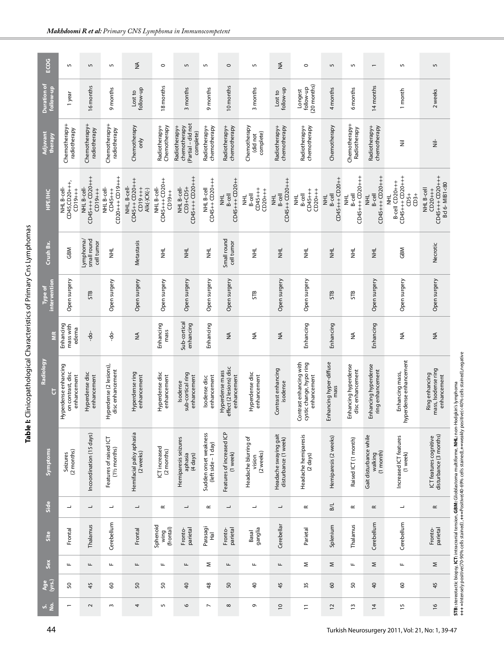| ECOG                            | $\overline{5}$                                               | $\overline{5}$                          | 5                                                | $\lessgtr$                                                      | $\circ$                                  | $\overline{5}$                                                  | $\overline{5}$                               | $\circ$                                                   | 5                                           | ≨                                             | $\circ$                                                            | $\overline{5}$                           | $\overline{5}$                              |                                                          | 5                                                                           | 5                                                         |                                                                                                                                                                                                                                                          |
|---------------------------------|--------------------------------------------------------------|-----------------------------------------|--------------------------------------------------|-----------------------------------------------------------------|------------------------------------------|-----------------------------------------------------------------|----------------------------------------------|-----------------------------------------------------------|---------------------------------------------|-----------------------------------------------|--------------------------------------------------------------------|------------------------------------------|---------------------------------------------|----------------------------------------------------------|-----------------------------------------------------------------------------|-----------------------------------------------------------|----------------------------------------------------------------------------------------------------------------------------------------------------------------------------------------------------------------------------------------------------------|
| <b>Duration of</b><br>follow-up | 1 year                                                       | 16 months                               | 9 months                                         | follow-up<br>Lost to                                            | 18 months                                | 3 months                                                        | 9 months                                     | 10 months                                                 | 3 months                                    | follow-up<br>Lost to                          | 20 months)<br>follow-up<br>Longest                                 | 4 months                                 | 6 months                                    | 14 months                                                | 1 month                                                                     | 2 weeks                                                   |                                                                                                                                                                                                                                                          |
| Adjuvant<br>therapy             | Chemotherapy+<br>radiotherapy                                | Chemotherapy+<br>radiotherapy           | Chemotherapy+<br>radiotherapy                    | Chemotherapy<br>only                                            | Radiotherapy+<br>Chemotherapy            | Partial – did not<br>Radiotherapy+<br>chemotherapy<br>complete) | Radiotherapy+<br>chemotherapy                | chemotherapy<br>Radiotherapy+                             | Chemotherapy<br>complete)<br>did not        | Radiotherapy+<br>chemotherapy                 | Radiotherapy+<br>chemotherapy                                      | Chemotherapy                             | Chemotherapy+<br>Radiotherapy               | Radiotherapy+<br>chemotherapy                            | $\bar{z}$                                                                   | $\dot{\bar{z}}$                                           |                                                                                                                                                                                                                                                          |
| <b>HPE/IHC</b>                  | CD45, CD20+++,<br>NHL B-cell-<br>$-1+10$                     | $CD45++CD20++$<br>CD19++<br>NHL B-cell- | $CD20++CD19+++$<br>NHL B-cell-<br>$CD45++$       | CD45++CD20+++<br>NHL, B-cell-<br>$-1+6$ id $-1+$<br>Alk(-)CK(-) | CD45+++CD20++<br>NHL B-cell-<br>$-+6101$ | CD45+++CD20+++<br>NHL B-cell-<br>$CD3+CD5+$                     | CD45++CD20++<br>NHL B-cell                   | CD45+++ CD20++<br>B-cell<br>로<br>도                        | $CD45+++$<br>$CD20++$<br>B-cell<br>E<br>E   | $CD45 + CD20 + + +$<br>B-cell<br>로<br>도       | $CD45+++$<br>$CD20++$<br>$B - \text{cell}$<br>I<br>E               | CD45+++ CD20++<br>$B$ -cell<br>$\vec{v}$ | CD45++5PO+++<br>$B - \text{cell}$<br>로<br>토 | CD45+++CD20+++<br>$B$ -cell<br>$\vec{p}$                 | CD45+++CD20+++<br><b>B-cell CD20+++</b><br>$CDS+$<br>$CD3+$<br>I<br>II<br>I | CD45+++CD20+++<br>Bcl 6-MIB1<80<br>NHL B-cell<br>$CD20++$ |                                                                                                                                                                                                                                                          |
| Crush Bx.                       | GBM                                                          | small round<br>Lymphoma/<br>cell tumor  | 로<br>도                                           | Metastasis                                                      | 로<br>호                                   | $\vec{\Xi}$                                                     | 로<br>도                                       | Small round<br>cell tumor                                 | 로<br>도                                      | 로<br>호                                        | I<br>I<br>I                                                        | $\vec{\Xi}$                              | Į                                           | Į                                                        | GBM                                                                         | Necrotic                                                  |                                                                                                                                                                                                                                                          |
| intervention<br><b>Type of</b>  | Open surgery                                                 | STB                                     | Open surgery                                     | Open surgery                                                    | Open surgery                             | Open surgery                                                    | Open surgery                                 | Open surgery                                              | STB                                         | Open surgery                                  | Open surgery                                                       | STB                                      | STB                                         | Open surgery                                             | Open surgery                                                                | Open surgery                                              |                                                                                                                                                                                                                                                          |
| E                               | Enhancing<br>mass with<br>edema                              | $-9$                                    | ခုံ                                              | $\lessgtr$                                                      | Enhancing<br>mass                        | Sub-cortical<br>enhancing                                       | Enhancing                                    | $\lessgtr$                                                | ≨                                           | $\stackrel{\leq}{\geq}$                       | Enhancing                                                          | Enhancing                                | ≨                                           | Enhancing                                                | ≨                                                                           | ≨                                                         |                                                                                                                                                                                                                                                          |
| Radiology<br>J                  | yperdense enhancing<br>on contrast, disc<br>enhancement<br>I | Hyperdense disc<br>enhancement          | lyperdense (2 lesions),<br>disc enhancement<br>ᆂ | Hyperdense ring<br>enhancement                                  | Hyperdense disc<br>enhancement           | sub-cortical ring<br>enhancement<br>Isodense                    | enhancement<br>Isodense disc                 | effect (2 lesions) disc<br>Hyperdense mass<br>enhancement | Hyperdense disc<br>enhancement              | Contrast enhancing<br>isodense                | Contrast enhancing with<br>cystic change, hypo ring<br>enhancement | Enhancing hyper-diffuse<br>mass          | Enhancing hyperdense<br>disc enhancement    | Enhancing hyperdense<br>ring enhancement                 | Enhancing mass,<br>hyperdense enhancement                                   | mass, Isodense ring<br>Ring enhancing<br>enhancement      |                                                                                                                                                                                                                                                          |
| Symptoms                        | Seizures<br>(2 months)                                       | Incoordination (15 days)                | Features of raised ICT<br>(1½ months)            | Hemifacial palsy aphasia<br>(2 weeks)                           | ICT increased<br>(2 months)              | Hemiparesis seizures<br>aphasia<br>(4 days)                     | Sudden onset weakness<br>(left side - 1 day) | Features of increased ICP<br>$(1$ week $)$                | Headache blurring of<br>(2 weeks)<br>vision | Headache swaying gait<br>disturbance (1 week) | Headache hemiparesis<br>$(2 \text{ days})$                         | Hemiparesis (2 weeks)                    | Raised ICT (1 month)                        | Gait disturbance while<br>$(1 \text{ month})$<br>walking | Increased ICT features<br>$(1$ week $)$                                     | disturbance (3 months)<br>ICT features cognitive          | <b>STB</b> : stereotactic biopsy, I <b>CT</b> : intracranial tension, <b>GBM:</b> Glioblastoma multiforme, <b>NHL:</b> non-Hodgkin's lymphoma<br>+++ =Intensely positive(70-90% cells stained) ,++=Positive(40-69% cells stained),+=weakly positive(<40% |
| Side                            | ┙                                                            | $\overline{\phantom{a}}$                | ┙                                                | $\overline{\phantom{a}}$                                        | $\propto$                                | $\overline{\phantom{a}}$                                        | œ                                            | $\overline{\phantom{a}}$                                  | ┙                                           | $\overline{\phantom{a}}$                      | $\simeq$                                                           | <b>B</b> <sub>L</sub>                    | $\simeq$                                    | $\simeq$                                                 | ┙                                                                           | $\simeq$                                                  |                                                                                                                                                                                                                                                          |
| Site                            | Frontal                                                      | Thalamus                                | Cerebellum                                       | Frontal                                                         | Sphenoid<br>wing<br>(frontal)            | Fronto-<br>parietal                                             | Parasagi<br>$\overline{\overline{r}}$        | Fronto-<br>parietal                                       | ganglia<br>Basal                            | Cerebellar                                    | Parietal                                                           | Splenium                                 | Thalamus                                    | Cerebellum                                               | Cerebellum                                                                  | Fronto-<br>parietal                                       |                                                                                                                                                                                                                                                          |
| Sex                             | щ                                                            | щ                                       | щ                                                | щ                                                               | Щ                                        | щ                                                               | Σ                                            | щ                                                         | Щ                                           | щ                                             | Σ                                                                  | Σ                                        | щ                                           | Σ                                                        | щ                                                                           | Σ                                                         |                                                                                                                                                                                                                                                          |
| Age<br>(yrs.)                   | 50                                                           | 45                                      | 3                                                | 50                                                              | SO                                       | $\overline{a}$                                                  | 48                                           | 50                                                        | $\overline{a}$                              | 45                                            | 35                                                                 | $\mathsf{S}^{\mathsf{O}}$                | 50                                          | $\overline{4}$                                           | 3                                                                           | 45                                                        |                                                                                                                                                                                                                                                          |
| vi g                            |                                                              | $\sim$                                  | $\sim$                                           | 4                                                               | 5                                        | 6                                                               | $\overline{\phantom{0}}$                     | $\infty$                                                  | G                                           | $\overline{C}$                                | Ξ                                                                  | $\overline{c}$                           | $\frac{1}{2}$                               | $\overline{4}$                                           | $\frac{15}{2}$                                                              | $\frac{6}{2}$                                             |                                                                                                                                                                                                                                                          |

**Table I:** Clinicopathological Characteristics of Primary Cns Lymphomas

Table I: Clinicopathological Characteristics of Primary Cns Lymphomas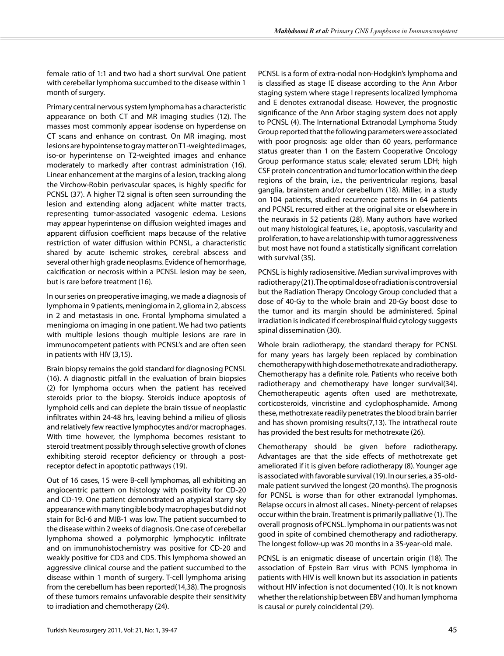female ratio of 1:1 and two had a short survival. One patient with cerebellar lymphoma succumbed to the disease within 1 month of surgery.

Primary central nervous system lymphoma has a characteristic appearance on both CT and MR imaging studies (12). The masses most commonly appear isodense on hyperdense on CT scans and enhance on contrast. On MR imaging, most lesions are hypointense to gray matter on T1-weighted images, iso-or hyperintense on T2-weighted images and enhance moderately to markedly after contrast administration (16). Linear enhancement at the margins of a lesion, tracking along the Virchow-Robin perivascular spaces, is highly specific for PCNSL (37). A higher T2 signal is often seen surrounding the lesion and extending along adjacent white matter tracts, representing tumor-associated vasogenic edema. Lesions may appear hyperintense on diffusion weighted images and apparent diffusion coefficient maps because of the relative restriction of water diffusion within PCNSL, a characteristic shared by acute ischemic strokes, cerebral abscess and several other high grade neoplasms. Evidence of hemorrhage, calcification or necrosis within a PCNSL lesion may be seen, but is rare before treatment (16).

In our series on preoperative imaging, we made a diagnosis of lymphoma in 9 patients, meningioma in 2, glioma in 2, abscess in 2 and metastasis in one. Frontal lymphoma simulated a meningioma on imaging in one patient. We had two patients with multiple lesions though multiple lesions are rare in immunocompetent patients with PCNSL's and are often seen in patients with HIV (3,15).

Brain biopsy remains the gold standard for diagnosing PCNSL (16). A diagnostic pitfall in the evaluation of brain biopsies (2) for lymphoma occurs when the patient has received steroids prior to the biopsy. Steroids induce apoptosis of lymphoid cells and can deplete the brain tissue of neoplastic infiltrates within 24-48 hrs, leaving behind a milieu of gliosis and relatively few reactive lymphocytes and/or macrophages. With time however, the lymphoma becomes resistant to steroid treatment possibly through selective growth of clones exhibiting steroid receptor deficiency or through a postreceptor defect in apoptotic pathways (19).

Out of 16 cases, 15 were B-cell lymphomas, all exhibiting an angiocentric pattern on histology with positivity for CD-20 and CD-19. One patient demonstrated an atypical starry sky appearance with many tingible body macrophages but did not stain for Bcl-6 and MIB-1 was low. The patient succumbed to the disease within 2 weeks of diagnosis. One case of cerebellar lymphoma showed a polymorphic lymphocytic infiltrate and on immunohistochemistry was positive for CD-20 and weakly positive for CD3 and CD5. This lymphoma showed an aggressive clinical course and the patient succumbed to the disease within 1 month of surgery. T-cell lymphoma arising from the cerebellum has been reported(14,38). The prognosis of these tumors remains unfavorable despite their sensitivity to irradiation and chemotherapy (24).

PCNSL is a form of extra-nodal non-Hodgkin's lymphoma and is classified as stage IE disease according to the Ann Arbor staging system where stage I represents localized lymphoma and E denotes extranodal disease. However, the prognostic significance of the Ann Arbor staging system does not apply to PCNSL (4). The International Extranodal Lymphoma Study Group reported that the following parameters were associated with poor prognosis: age older than 60 years, performance status greater than 1 on the Eastern Cooperative Oncology Group performance status scale; elevated serum LDH; high CSF protein concentration and tumor location within the deep regions of the brain, i.e., the periventricular regions, basal ganglia, brainstem and/or cerebellum (18). Miller, in a study on 104 patients, studied recurrence patterns in 64 patients and PCNSL recurred either at the original site or elsewhere in the neuraxis in 52 patients (28). Many authors have worked out many histological features, i.e., apoptosis, vascularity and proliferation, to have a relationship with tumor aggressiveness but most have not found a statistically significant correlation with survival (35).

PCNSL is highly radiosensitive. Median survival improves with radiotherapy (21). The optimal dose of radiation is controversial but the Radiation Therapy Oncology Group concluded that a dose of 40-Gy to the whole brain and 20-Gy boost dose to the tumor and its margin should be administered. Spinal irradiation is indicated if cerebrospinal fluid cytology suggests spinal dissemination (30).

Whole brain radiotherapy, the standard therapy for PCNSL for many years has largely been replaced by combination chemotherapy with high dose methotrexate and radiotherapy. Chemotherapy has a definite role. Patients who receive both radiotherapy and chemotherapy have longer survival(34). Chemotherapeutic agents often used are methotrexate, corticosteroids, vincristine and cyclophosphamide. Among these, methotrexate readily penetrates the blood brain barrier and has shown promising results(7,13). The intrathecal route has provided the best results for methotrexate (26).

Chemotherapy should be given before radiotherapy. Advantages are that the side effects of methotrexate get ameliorated if it is given before radiotherapy (8). Younger age is associated with favorable survival (19). In our series, a 35-oldmale patient survived the longest (20 months). The prognosis for PCNSL is worse than for other extranodal lymphomas. Relapse occurs in almost all cases.. Ninety-percent of relapses occur within the brain. Treatment is primarily palliative (1). The overall prognosis of PCNSL. lymphoma in our patients was not good in spite of combined chemotherapy and radiotherapy. The longest follow-up was 20 months in a 35-year-old male.

PCNSL is an enigmatic disease of uncertain origin (18). The association of Epstein Barr virus with PCNS lymphoma in patients with HIV is well known but its association in patients without HIV infection is not documented (10). It is not known whether the relationship between EBV and human lymphoma is causal or purely coincidental (29).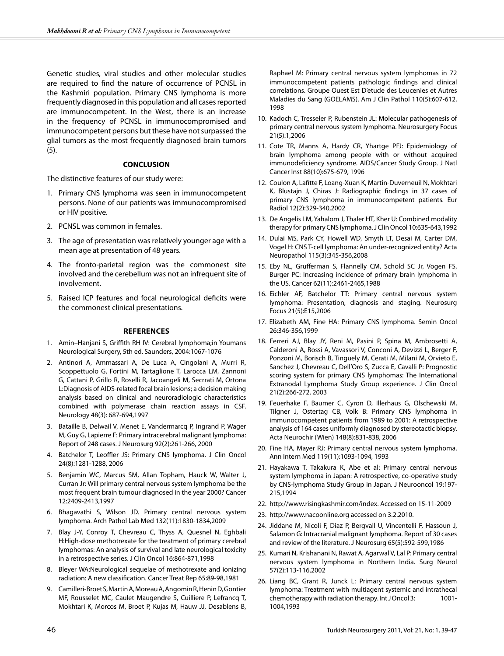Genetic studies, viral studies and other molecular studies are required to find the nature of occurrence of PCNSL in the Kashmiri population. Primary CNS lymphoma is more frequently diagnosed in this population and all cases reported are immunocompetent. In the West, there is an increase in the frequency of PCNSL in immunocompromised and immunocompetent persons but these have not surpassed the glial tumors as the most frequently diagnosed brain tumors (5).

# **CONCLUSION**

The distinctive features of our study were:

- 1. Primary CNS lymphoma was seen in immunocompetent persons. None of our patients was immunocompromised or HIV positive.
- 2. PCNSL was common in females.
- 3. The age of presentation was relatively younger age with a mean age at presentation of 48 years.
- 4. The fronto-parietal region was the commonest site involved and the cerebellum was not an infrequent site of involvement.
- 5. Raised ICP features and focal neurological deficits were the commonest clinical presentations.

#### **References**

- 1. Amin–Hanjani S, Griffith RH IV: Cerebral lymphoma;in Youmans Neurological Surgery, 5th ed. Saunders, 2004:1067-1076
- 2. Antinori A, Ammassari A, De Luca A, Cingolani A, Murri R, Scoppettuolo G, Fortini M, Tartaglione T, Larocca LM, Zannoni G, Cattani P, Grillo R, Roselli R, Jacoangeli M, Secrrati M, Ortona L:Diagnosis of AIDS-related focal brain lesions; a decision making analysis based on clinical and neuroradiologic characteristics combined with polymerase chain reaction assays in CSF. Neurology 48(3): 687-694,1997
- 3. Bataille B, Delwail V, Menet E, Vandermarcq P, Ingrand P, Wager M, Guy G, Lapierre F: Primary intracerebral malignant lymphoma: Report of 248 cases. J Neurosurg 92(2):261-266, 2000
- 4. Batchelor T, Leoffler JS: Primary CNS lymphoma. J Clin Oncol 24(8):1281-1288, 2006
- 5. Benjamin WC, Marcus SM, Allan Topham, Hauck W, Walter J, Curran Jr: Will primary central nervous system lymphoma be the most frequent brain tumour diagnosed in the year 2000? Cancer 12:2409-2413,1997
- 6. Bhagavathi S, Wilson JD. Primary central nervous system lymphoma. Arch Pathol Lab Med 132(11):1830-1834,2009
- 7. Blay J-Y, Conroy T, Chevreau C, Thyss A, Quesnel N, Eghbali H:High-dose methotrexate for the treatment of primary cerebral lymphomas: An analysis of survival and late neurological toxicity in a retrospective series. J Clin Oncol 16:864-871,1998
- 8. Bleyer WA:Neurological sequelae of methotrexate and ionizing radiation: A new classification. Cancer Treat Rep 65:89-98,1981
- 9. Camilleri-Broet S, Martin A, Moreau A, Angomin R, Henin D, Gontier MF, Rousselet MC, Caulet Maugendre S, Cuilliere P, Lefrancq T, Mokhtari K, Morcos M, Broet P, Kujas M, Hauw JJ, Desablens B,

Raphael M: Primary central nervous system lymphomas in 72 immunocompetent patients pathologic findings and clinical correlations. Groupe Ouest Est D'etude des Leucenies et Autres Maladies du Sang (GOELAMS). Am J Clin Pathol 110(5):607-612, 1998

- 10. Kadoch C, Tresseler P, Rubenstein JL: Molecular pathogenesis of primary central nervous system lymphoma. Neurosurgery Focus 21(5):1,2006
- 11. Cote TR, Manns A, Hardy CR, Yhartge PFJ: Epidemiology of brain lymphoma among people with or without acquired immunodeficiency syndrome. AIDS/Cancer Study Group. J Natl Cancer Inst 88(10):675-679, 1996
- 12. Coulon A, Lafitte F, Loang-Xuan K, Martin-Duverneuil N, Mokhtari K, Blustajn J, Chiras J: Radiographic findings in 37 cases of primary CNS lymphoma in immunocompetent patients. Eur Radiol 12(2):329-340,2002
- 13. De Angelis LM, Yahalom J, Thaler HT, Kher U: Combined modality therapy for primary CNS lymphoma. J Clin Oncol 10:635-643,1992
- 14. Dulai MS, Park CY, Howell WD, Smyth LT, Desai M, Carter DM, Vogel H: CNS T-cell lymphoma: An under-recognized entity? Acta Neuropathol 115(3):345-356,2008
- 15. Eby NL, Grufferman S, Flannelly CM, Schold SC Jr, Vogen FS, Burger PC: Increasing incidence of primary brain lymphoma in the US. Cancer 62(11):2461-2465,1988
- 16. Eichler AF, Batchelor TT: Primary central nervous system lymphoma: Presentation, diagnosis and staging. Neurosurg Focus 21(5):E15,2006
- 17. Elizabeth AM, Fine HA: Primary CNS lymphoma. Semin Oncol 26:346-356,1999
- 18. Ferreri AJ, Blay JY, Reni M, Pasini P, Spina M, Ambrosetti A, Calderoni A, Rossi A, Vavassori V, Conconi A, Devizzi L, Berger F, Ponzoni M, Borisch B, Tinguely M, Cerati M, Milani M, Orvieto E, Sanchez J, Chevreau C, Dell'Oro S, Zucca E, Cavalli P: Prognostic scoring system for primary CNS lymphomas: The International Extranodal Lymphoma Study Group experience. J Clin Oncol 21(2):266-272, 2003
- 19. Feuerhake F, Baumer C, Cyron D, Illerhaus G, Olschewski M, Tilgner J, Ostertag CB, Volk B: Primary CNS lymphoma in immunocompetent patients from 1989 to 2001: A retrospective analysis of 164 cases uniformly diagnosed by stereotactic biopsy. Acta Neurochir (Wien) 148(8):831-838, 2006
- 20. Fine HA, Mayer RJ: Primary central nervous system lymphoma. Ann Intern Med 119(11):1093-1094, 1993
- 21. Hayakawa T, Takakura K, Abe et al: Primary central nervous system lymphoma in Japan: A retrospective, co-operative study by CNS-lymphoma Study Group in Japan. J Neurooncol 19:197- 215,1994
- 22. http://www.risingkashmir.com/index. Accessed on 15-11-2009
- 23. http://www.nacoonline.org accessed on 3.2.2010.
- 24. Jiddane M, Nicoli F, Diaz P, Bergvall U, Vincentelli F, Hassoun J, Salamon G: Intracranial malignant lymphoma. Report of 30 cases and review of the literature. J Neurosurg 65(5):592-599,1986
- 25. Kumari N, Krishanani N, Rawat A, Agarwal V, Lal P: Primary central nervous system lymphoma in Northern India. Surg Neurol 57(2):113-116,2002
- 26. Liang BC, Grant R, Junck L: Primary central nervous system lymphoma: Treatment with multiagent systemic and intrathecal chemotherapy with radiation therapy. Int J Oncol 3: 1001- 1004,1993